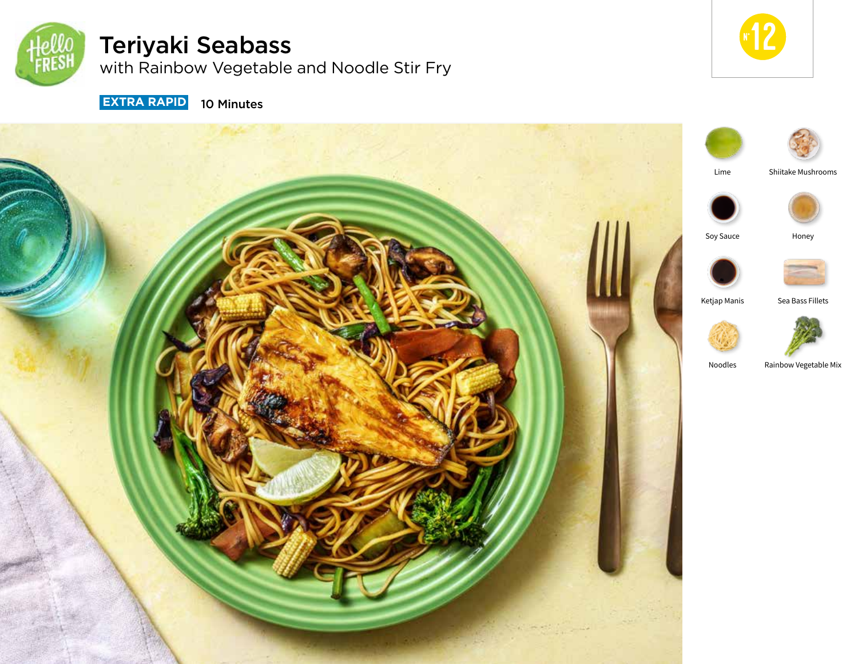

# Teriyaki Seabass

with Rainbow Vegetable and Noodle Stir Fry



**EXTRA RAPID** 10 Minutes